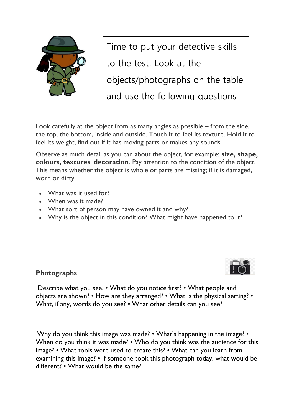

Time to put your detective skills to the test! Look at the

objects/photographs on the table

and use the following questions

Look carefully at the object from as many angles as possible – from the side, the top, the bottom, inside and outside. Touch it to feel its texture. Hold it to feel its weight, find out if it has moving parts or makes any sounds.

Observe as much detail as you can about the object, for example: **size, shape, colours, textures**, **decoration**. Pay attention to the condition of the object. This means whether the object is whole or parts are missing; if it is damaged, worn or dirty.

- What was it used for?
- When was it made?
- What sort of person may have owned it and why?
- Why is the object in this condition? What might have happened to it?



## **Photographs**

Describe what you see. • What do you notice first? • What people and objects are shown? • How are they arranged? • What is the physical setting? • What, if any, words do you see? • What other details can you see?

Why do you think this image was made? • What's happening in the image? • When do you think it was made? • Who do you think was the audience for this image? • What tools were used to create this? • What can you learn from examining this image? • If someone took this photograph today, what would be different? • What would be the same?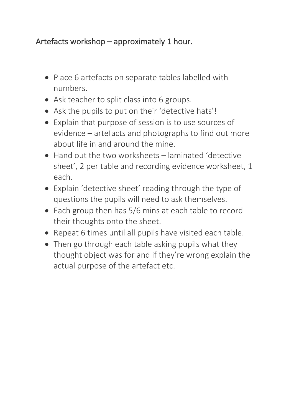## Artefacts workshop  $-$  approximately 1 hour.

- Place 6 artefacts on separate tables labelled with numbers.
- Ask teacher to split class into 6 groups.
- Ask the pupils to put on their 'detective hats'!
- Explain that purpose of session is to use sources of evidence – artefacts and photographs to find out more about life in and around the mine.
- $\bullet$  Hand out the two worksheets  $-$  laminated 'detective sheet', 2 per table and recording evidence worksheet, 1 each.
- Explain 'detective sheet' reading through the type of questions the pupils will need to ask themselves.
- Each group then has 5/6 mins at each table to record their thoughts onto the sheet.
- Repeat 6 times until all pupils have visited each table.
- Then go through each table asking pupils what they thought object was for and if they're wrong explain the actual purpose of the artefact etc.